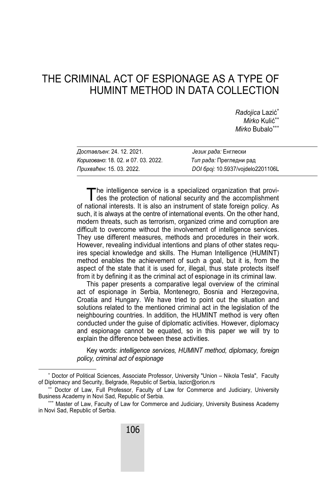# THE CRIMINAL ACT OF ESPIONAGE AS A TYPE OF HUMINT METHOD IN DATA COLLECTION

*Radojica* Lazić *Mirko* Kulić *Mirko* Bubalo

| Достављен: 24. 12. 2021.            | Језик рада: Енглески              |
|-------------------------------------|-----------------------------------|
| Кориговано: 18. 02. и 07. 03. 2022. | Тип рада: Прегледни рад           |
| Прихваћен: 15. 03. 2022.            | DOI 6poj: 10.5937/vojdelo2201106L |

he intelligence service is a specialized organization that provi-The intelligence service is a specialized organization that provides the protection of national security and the accomplishment of national interests. It is also an instrument of state foreign policy. As such, it is always at the centre of international events. On the other hand, modern threats, such as terrorism, organized crime and corruption are difficult to overcome without the involvement of intelligence services. They use different measures, methods and procedures in their work. However, revealing individual intentions and plans of other states requires special knowledge and skills. The Human Intelligence (HUMINT) method enables the achievement of such a goal, but it is, from the aspect of the state that it is used for, illegal, thus state protects itself from it by defining it as the criminal act of espionage in its criminal law.

This paper presents a comparative legal overview of the criminal act of espionage in Serbia, Montenegro, Bosnia and Herzegovina, Croatia and Hungary. We have tried to point out the situation and solutions related to the mentioned criminal act in the legislation of the neighbouring countries. In addition, the HUMINT method is very often conducted under the guise of diplomatic activities. However, diplomacy and espionage cannot be equated, so in this paper we will try to explain the difference between these activities.

Key words: *intelligence services, HUMINT method, diplomacy, foreign policy, criminal act of espionage*

 $\overline{\phantom{a}}$ \* Doctor of Political Sciences, Associate Professor, University "Union – Nikola Tesla", Faculty of Diplomacy and Security, Belgrade, Republic of Serbia, lazicr@orion.rs

<sup>\*\*</sup> Doctor of Law, Full Professor, Faculty of Law for Commerce and Judiciary, University Business Academy in Novi Sad, Republic of Serbia.

<sup>\*\*\*</sup> Master of Law, Faculty of Law for Commerce and Judiciary, University Business Academy in Novi Sad, Republic of Serbia.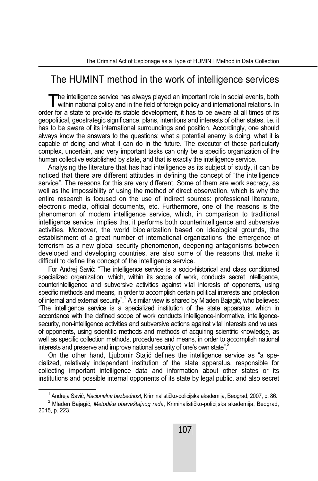## The HUMINT method in the work of intelligence services

The intelligence service has always played an important role in social events, both The intelligence service has always played an important role in social events, both within national policy and in the field of foreign policy and international relations. In order for a state to provide its stable development, it has to be aware at all times of its geopolitical, geostrategic significance, plans, intentions and interests of other states, i.e. it has to be aware of its international surroundings and position. Accordingly, one should always know the answers to the questions: what a potential enemy is doing, what it is capable of doing and what it can do in the future. The executor of these particularly complex, uncertain, and very important tasks can only be a specific organization of the human collective established by state, and that is exactly the intelligence service.

Analysing the literature that has had intelligence as its subject of study, it can be noticed that there are different attitudes in defining the concept of "the intelligence service". The reasons for this are very different. Some of them are work secrecy, as well as the impossibility of using the method of direct observation, which is why the entire research is focused on the use of indirect sources: professional literature, electronic media, official documents, etc. Furthermore, one of the reasons is the phenomenon of modern intelligence service, which, in comparison to traditional intelligence service, implies that it performs both counterintelligence and subversive activities. Moreover, the world bipolarization based on ideological grounds, the establishment of a great number of international organizations, the emergence of terrorism as a new global security phenomenon, deepening antagonisms between developed and developing countries, are also some of the reasons that make it difficult to define the concept of the intelligence service.

For Andrej Savić: "The intelligence service is a socio-historical and class conditioned specialized organization, which, within its scope of work, conducts secret intelligence, counterintelligence and subversive activities against vital interests of opponents, using specific methods and means, in order to accomplish certain political interests and protection of internal and external security". $^1$  A similar view is shared by Mladen Bajagić, who believes: "The intelligence service is a specialized institution of the state apparatus, which in accordance with the defined scope of work conducts intelligence-informative, intelligencesecurity, non-intelligence activities and subversive actions against vital interests and values of opponents, using scientific methods and methods of acquiring scientific knowledge, as well as specific collection methods, procedures and means, in order to accomplish national interests and preserve and improve national security of one's own state".<sup>2</sup>

On the other hand, Ljubomir Stajić defines the intelligence service as "a specialized, relatively independent institution of the state apparatus, responsible for collecting important intelligence data and information about other states or its institutions and possible internal opponents of its state by legal public, and also secret

 $\overline{\phantom{0}}$ <sup>1</sup> Andreja Savić, *Nacionalna bezbednost,* Kriminalističko-policijska akademija, Beograd, 2007, p. 86.

Mladen Bajagić, *Metodika obaveštajnog rada*, Kriminalističko-policijska akademija, Beograd, 2015, p. 223.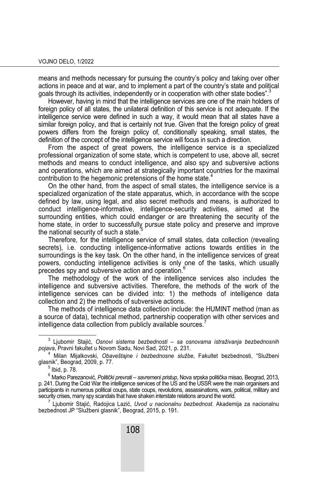means and methods necessary for pursuing the country's policy and taking over other actions in peace and at war, and to implement a part of the country's state and political goals through its activities, independently or in cooperation with other state bodies".<sup>3</sup>

However, having in mind that the intelligence services are one of the main holders of foreign policy of all states, the unilateral definition of this service is not adequate. If the intelligence service were defined in such a way, it would mean that all states have a similar foreign policy, and that is certainly not true. Given that the foreign policy of great powers differs from the foreign policy of, conditionally speaking, small states, the definition of the concept of the intelligence service will focus in such a direction.

From the aspect of great powers, the intelligence service is a specialized professional organization of some state, which is competent to use, above all, secret methods and means to conduct intelligence, and also spy and subversive actions and operations, which are aimed at strategically important countries for the maximal contribution to the hegemonic pretensions of the home state.<sup>4</sup>

On the other hand, from the aspect of small states, the intelligence service is a specialized organization of the state apparatus, which, in accordance with the scope defined by law, using legal, and also secret methods and means, is authorized to conduct intelligence-informative, intelligence-security activities, aimed at the surrounding entities, which could endanger or are threatening the security of the home state, in order to successfully pursue state policy and preserve and improve the national security of such a state. $5$ 

Therefore, for the intelligence service of small states, data collection (revealing secrets), i.e. conducting intelligence-informative actions towards entities in the surroundings is the key task. On the other hand, in the intelligence services of great powers, conducting intelligence activities is only one of the tasks, which usually precedes spy and subversive action and operation.<sup>4</sup>

The methodology of the work of the intelligence services also includes the intelligence and subversive activities. Therefore, the methods of the work of the intelligence services can be divided into: 1) the methods of intelligence data collection and 2) the methods of subversive actions.

The methods of intelligence data collection include: the HUMINT method (man as a source of data), technical method, partnership cooperation with other services and intelligence data collection from publicly available sources.

 $\frac{1}{3}$  Ljubomir Stajić, *Osnovi sistema bezbednosti – sa osnovama istraživanja bezbednosnih pojava*, Pravni fakultet u Novom Sadu, Novi Sad, 2021, p. 231.

<sup>4</sup> Milan Mijalkovski, *Obaveštajne i bezbednosne službe*, Fakultet bezbednosti, "Službeni glasnik", Beograd, 2009, p. 77.

 $^5$  Ibid, p. 78.

<sup>6</sup> Marko Parezanović, *Politički prevrati – savremeni pristup*, Nova srpska politička misao, Beograd, 2013, p. 241. During the Cold War the intelligence services of the US and the USSR were the main organisers and participants in numerous political coups, state coups, revolutions, assassinations, wars, political, military and security crises, many spy scandals that have shaken interstate relations around the world.

Ljubomir Stajić, Radojica Lazić, *Uvod u nacionalnu bezbednost*. Akademija za nacionalnu bezbednost JP "Službeni glasnik", Beograd, 2015, p. 191.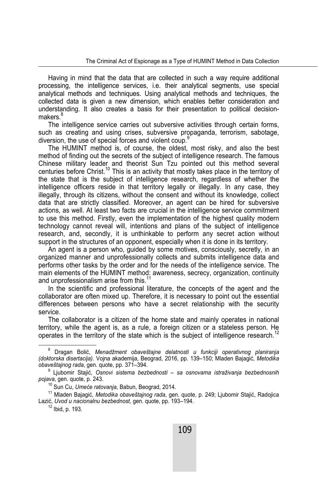Having in mind that the data that are collected in such a way require additional processing, the intelligence services, i.e. their analytical segments, use special analytical methods and techniques. Using analytical methods and techniques, the collected data is given a new dimension, which enables better consideration and understanding. It also creates a basis for their presentation to political decisionmakers.<sup>8</sup>

The intelligence service carries out subversive activities through certain forms, such as creating and using crises, subversive propaganda, terrorism, sabotage, diversion, the use of special forces and violent coup.<sup>9</sup>

The HUMINT method is, of course, the oldest, most risky, and also the best method of finding out the secrets of the subject of intelligence research. The famous Chinese military leader and theorist Sun Tzu pointed out this method several centuries before Christ.<sup>10</sup> This is an activity that mostly takes place in the territory of the state that is the subject of intelligence research, regardless of whether the intelligence officers reside in that territory legally or illegally. In any case, they illegally, through its citizens, without the consent and without its knowledge, collect data that are strictly classified. Moreover, an agent can be hired for subversive actions, as well. At least two facts are crucial in the intelligence service commitment to use this method. Firstly, even the implementation of the highest quality modern technology cannot reveal will, intentions and plans of the subject of intelligence research, and, secondly, it is unthinkable to perform any secret action without support in the structures of an opponent, especially when it is done in its territory.

An agent is a person who, guided by some motives, consciously, secretly, in an organized manner and unprofessionally collects and submits intelligence data and performs other tasks by the order and for the needs of the intelligence service. The main elements of the HUMINT method: awareness, secrecy, organization, continuity and unprofessionalism arise from this.<sup>1</sup>

In the scientific and professional literature, the concepts of the agent and the collaborator are often mixed up. Therefore, it is necessary to point out the essential differences between persons who have a secret relationship with the security service.

The collaborator is a citizen of the home state and mainly operates in national territory, while the agent is, as a rule, a foreign citizen or a stateless person. He operates in the territory of the state which is the subject of intelligence research.<sup>12</sup>

 $\overline{8}$  Dragan Bolić, *Menadžment obaveštajne delatnosti u funkciji operativnog planiranja (doktorska disertacija)*. Vojna akademija, Beograd, 2016, pp. 139–150; Mladen Bajagić, *Metodika obaveštajnog rada*, gen. quote, pp. 371–394.

<sup>9</sup> Ljubomir Stajić, *Osnovi sistema bezbednosti – sa osnovama istraživanja bezbednosnih pojava*, gen. quote, p. 243.

<sup>&</sup>lt;sup>10</sup> Sun Cu, *Umeće ratovanja*, Babun, Beograd, 2014.<br><sup>11</sup> Mladen Bajagić, *Metodika obaveštajnog rada*, gen. quote, p. 249; Ljubomir Stajić, Radojica Lazić, *Uvod u nacionalnu bezbednost*, gen. quote, pp. 193–194.<br><sup>12</sup> Ibid, p. 193.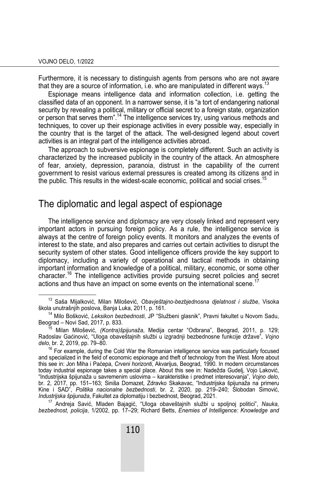Furthermore, it is necessary to distinguish agents from persons who are not aware that they are a source of information, i.e. who are manipulated in different ways.<sup>13</sup>

Espionage means intelligence data and information collection, i.e. getting the classified data of an opponent. In a narrower sense, it is "a tort of endangering national security by revealing a political, military or official secret to a foreign state, organization or person that serves them".<sup>14</sup> The intelligence services try, using various methods and techniques, to cover up their espionage activities in every possible way, especially in the country that is the target of the attack. The well-designed legend about covert activities is an integral part of the intelligence activities abroad.

The approach to subversive espionage is completely different. Such an activity is characterized by the increased publicity in the country of the attack. An atmosphere of fear, anxiety, depression, paranoia, distrust in the capability of the current government to resist various external pressures is created among its citizens and in the public. This results in the widest-scale economic, political and social crises.<sup>15</sup>

## The diplomatic and legal aspect of espionage

The intelligence service and diplomacy are very closely linked and represent very important actors in pursuing foreign policy. As a rule, the intelligence service is always at the centre of foreign policy events. It monitors and analyzes the events of interest to the state, and also prepares and carries out certain activities to disrupt the security system of other states. Good intelligence officers provide the key support to diplomacy, including a variety of operational and tactical methods in obtaining important information and knowledge of a political, military, economic, or some other character.16 The intelligence activities provide pursuing secret policies and secret actions and thus have an impact on some events on the international scene.<sup>17</sup>

17 Andreja Savić, Mladen Bajagić, "Uloga obaveštajnih službi u spoljnoj politici", *Nauka, bezbednost, policija*, 1/2002, pp. 17–29; Richard Betts, *Enemies of Intelligence: Knowledge and* 

13 Saša Mijalković, Milan Milošević, *Obavještajno-bezbjednosna djelatnost i službe*, Visoka

<sup>&</sup>lt;sup>14</sup> Milo Bošković, *Leksikon bezbednosti*, JP "Službeni glasnik", Pravni fakultet u Novom Sadu, Beograd – Novi Sad, 2017, p. 833. Beograd – Novi Sad, 2017, p. 833. 15 Milan Milošević, *(Kontra)špijunaža*, Medija centar "Odbrana", Beograd, 2011, p. 129;

Radoslav Gaćinović, "Uloga obaveštajnih službi u izgradnji bezbednosne funkcije države", *Vojno delo*, br. 2, 2019, pp. 79–80.

 $16$  For example, during the Cold War the Romanian intelligence service was particularly focused and specialized in the field of economic espionage and theft of technology from the West. More about this see in: Jon Miha i Paćepa, *Crveni horizonti*, Akvarijus, Beograd, 1990. In modern circumstances today industrial espionage takes a special place. About this see in: Nadežda Gudelj, Vojo Laković, "Industrijska špijunaža u savremenim uslovima – karakteristike i predmet interesovanja", *Vojno delo*, br. 2, 2017, pp. 151–163; Siniša Domazet, Zdravko Skakavac, "Industrijska špijunaža na primeru Kine i SAD", *Politika nacionalne bezbednosti*, br. 2, 2020, pp. 219–240; Slobodan Simović, *Industrijska špijunaža*, Fakultet za diplomatiju i bezbednost, Beograd, 2021.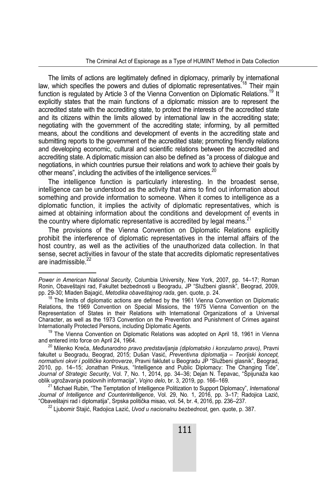The limits of actions are legitimately defined in diplomacy, primarily by international law, which specifies the powers and duties of diplomatic representatives.<sup>18</sup> Their main function is regulated by Article 3 of the Vienna Convention on Diplomatic Relations.<sup>19</sup> It explicitly states that the main functions of a diplomatic mission are to represent the accredited state with the accrediting state, to protect the interests of the accredited state and its citizens within the limits allowed by international law in the accrediting state; negotiating with the government of the accrediting state; informing, by all permitted means, about the conditions and development of events in the accrediting state and submitting reports to the government of the accredited state; promoting friendly relations and developing economic, cultural and scientific relations between the accredited and accrediting state. A diplomatic mission can also be defined as "a process of dialogue and negotiations, in which countries pursue their relations and work to achieve their goals by other means", including the activities of the intelligence services.<sup>20</sup>

The intelligence function is particularly interesting. In the broadest sense, intelligence can be understood as the activity that aims to find out information about something and provide information to someone. When it comes to intelligence as a diplomatic function, it implies the activity of diplomatic representatives, which is aimed at obtaining information about the conditions and development of events in the country where diplomatic representative is accredited by legal means. $21$ 

The provisions of the Vienna Convention on Diplomatic Relations explicitly prohibit the interference of diplomatic representatives in the internal affairs of the host country, as well as the activities of the unauthorized data collection. In that sense, secret activities in favour of the state that accredits diplomatic representatives are inadmissible.<sup>22</sup>

 $\overline{a}$ 

*Power in American National Security*, Columbia University, New York, 2007, pp. 14–17; Roman Ronin, Obaveštajni rad, Fakultet bezbednosti u Beogradu, JP "Službeni glasnik", Beograd, 2009, pp. 29-30; Mladen Bajagić, *Metodika obaveštajnog rada*, gen. quote, p. 24.

<sup>&</sup>lt;sup>18</sup> The limits of diplomatic actions are defined by the 1961 Vienna Convention on Diplomatic Relations, the 1969 Convention on Special Missions, the 1975 Vienna Convention on the Representation of States in their Relations with International Organizations of a Universal Character, as well as the 1973 Convention on the Prevention and Punishment of Crimes against Internationally Protected Persons, including Diplomatic Agents.

<sup>&</sup>lt;sup>19</sup> The Vienna Convention on Diplomatic Relations was adopted on April 18, 1961 in Vienna and entered into force on April 24, 1964.

<sup>20</sup> Milenko Kreća, *Međunarodno pravo predstavljanja (diplomatsko i konzularno pravo)*, Pravni fakultet u Beogradu, Beograd, 2015; Dušan Vasić, *Preventivna diplomatija – Teorijski koncept, normativni okvir i političke kontroverze*, Pravni faklutet u Beogradu JP "Službeni glasnik", Beograd, 2010, pp. 14–15; Jonathan Pinkus, "Intelligence and Public Diplomacy: The Changing Tide", *Journal of Strategic Security*, Vol. 7, No. 1, 2014, pp. 34–36; Dejan N. Tepavac, "Špijunaža kao oblik ugrožavanja poslovnih informacija", *Vojno delo*, br. 3, 2019, pp. 166–169.

<sup>21</sup> Michael Rubin, "The Temptation of Intelligence Politization to Support Diplomacy", *International Journal of Intelligence and Counterintelligence*, Vol. 29, No. 1, 2016, pp. 3–17; Radojica Lazić, "Obaveštajni rad i diplomatija", Srpska politička misao, vol. 54, br. 4, 2016, pp. 236–237.

<sup>22</sup> Ljubomir Stajić, Radojica Lazić, *Uvod u nacionalnu bezbednost*, gen. quote, p. 387.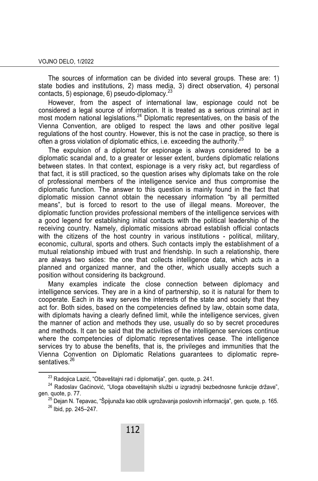The sources of information can be divided into several groups. These are: 1) state bodies and institutions, 2) mass media, 3) direct observation, 4) personal contacts, 5) espionage, 6) pseudo-diplomacy. $^{2}$ 

However, from the aspect of international law, espionage could not be considered a legal source of information. It is treated as a serious criminal act in most modern national legislations.24 Diplomatic representatives, on the basis of the Vienna Convention, are obliged to respect the laws and other positive legal regulations of the host country. However, this is not the case in practice, so there is often a gross violation of diplomatic ethics, i.e. exceeding the authority.<sup>2</sup>

The expulsion of a diplomat for espionage is always considered to be a diplomatic scandal and, to a greater or lesser extent, burdens diplomatic relations between states. In that context, espionage is a very risky act, but regardless of that fact, it is still practiced, so the question arises why diplomats take on the role of professional members of the intelligence service and thus compromise the diplomatic function. The answer to this question is mainly found in the fact that diplomatic mission cannot obtain the necessary information "by all permitted means", but is forced to resort to the use of illegal means. Moreover, the diplomatic function provides professional members of the intelligence services with a good legend for establishing initial contacts with the political leadership of the receiving country. Namely, diplomatic missions abroad establish official contacts with the citizens of the host country in various institutions - political, military, economic, cultural, sports and others. Such contacts imply the establishment of a mutual relationship imbued with trust and friendship. In such a relationship, there are always two sides: the one that collects intelligence data, which acts in a planned and organized manner, and the other, which usually accepts such a position without considering its background.

Many examples indicate the close connection between diplomacy and intelligence services. They are in a kind of partnership, so it is natural for them to cooperate. Each in its way serves the interests of the state and society that they act for. Both sides, based on the competencies defined by law, obtain some data, with diplomats having a clearly defined limit, while the intelligence services, given the manner of action and methods they use, usually do so by secret procedures and methods. It can be said that the activities of the intelligence services continue where the competencies of diplomatic representatives cease. The intelligence services try to abuse the benefits, that is, the privileges and immunities that the Vienna Convention on Diplomatic Relations guarantees to diplomatic representatives.<sup>26</sup>

<sup>&</sup>lt;sup>23</sup> Radojica Lazić, "Obaveštajni rad i diplomatija", gen. quote, p. 241.<br><sup>24</sup> Radoslav Gaćinović, "Uloga obaveštajnih službi u izgradnji bezbednosne funkcije države", gen. quote, p. 77.

<sup>&</sup>lt;sup>25</sup> Dejan N. Tepavac, "Špijunaža kao oblik ugrožavanja poslovnih informacija", gen. quote, p. 165.<br><sup>26</sup> Ibid, pp. 245–247.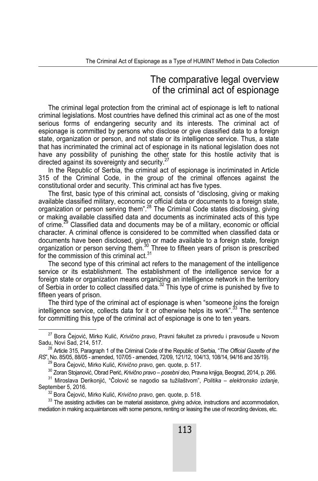### The comparative legal overview of the criminal act of espionage

The criminal legal protection from the criminal act of espionage is left to national criminal legislations. Most countries have defined this criminal act as one of the most serious forms of endangering security and its interests. The criminal act of espionage is committed by persons who disclose or give classified data to a foreign state, organization or person, and not state or its intelligence service. Thus, a state that has incriminated the criminal act of espionage in its national legislation does not have any possibility of punishing the other state for this hostile activity that is directed against its sovereignty and security.<sup>27</sup>

In the Republic of Serbia, the criminal act of espionage is incriminated in Article 315 of the Criminal Code, in the group of the criminal offences against the constitutional order and security. This criminal act has five types.

The first, basic type of this criminal act, consists of "disclosing, giving or making available classified military, economic or official data or documents to a foreign state, organization or person serving them".28 The Criminal Code states disclosing, giving or making available classified data and documents as incriminated acts of this type of crime.<sup>29</sup> Classified data and documents may be of a military, economic or official character. A criminal offence is considered to be committed when classified data or documents have been disclosed, given or made available to a foreign state, foreign organization or person serving them.<sup>30</sup> Three to fifteen years of prison is prescribed for the commission of this criminal act. $31$ 

The second type of this criminal act refers to the management of the intelligence service or its establishment. The establishment of the intelligence service for a foreign state or organization means organizing an intelligence network in the territory of Serbia in order to collect classified data.<sup>32</sup> This type of crime is punished by five to fifteen years of prison.

The third type of the criminal act of espionage is when "someone joins the foreign intelligence service, collects data for it or otherwise helps its work".<sup>33</sup> The sentence for committing this type of the criminal act of espionage is one to ten years.

27 Bora Čejović, Mirko Kulić, *Krivično pravo*, Pravni fakultet za privredu i pravosuđe u Novom Sadu, Novi Sad, 214, 517.

<sup>28</sup> Article 315, Paragraph 1 of the Criminal Code of the Republic of Serbia, "*The Official Gazette of the RS*", No. 85/05, 88/05 - amended, 107/05 - amended, 72/09, 121/12, 104/13, 108/14, 94/16 and 35/19).

<sup>&</sup>lt;sup>29</sup> Bora Čejović, Mirko Kulić, *Krivično pravo*, gen. quote, p. 517.<br><sup>30</sup> Zoran Stojanović, Obrad Perić, *Krivično pravo – posebni deo*, Pravna knjiga, Beograd, 2014, p. 266.

<sup>&</sup>lt;sup>31</sup> Miroslava Derikonjić, "Čolović se nagodio sa tužilaštvom", Politika – elektronsko izdanje, September 5, 2016.

<sup>&</sup>lt;sup>32</sup> Bora Čejović, Mirko Kulić, *Krivično pravo*, gen. quote, p. 518.

 $33$  The assisting activities can be material assistance, giving advice, instructions and accommodation, mediation in making acquaintances with some persons, renting or leasing the use of recording devices, etc.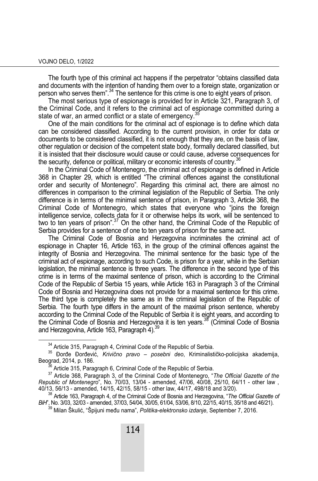The fourth type of this criminal act happens if the perpetrator "obtains classified data and documents with the intention of handing them over to a foreign state, organization or person who serves them".<sup>34</sup> The sentence for this crime is one to eight years of prison.

The most serious type of espionage is provided for in Article 321, Paragraph 3, of the Criminal Code, and it refers to the criminal act of espionage committed during a state of war, an armed conflict or a state of emergency.<sup>35</sup>

One of the main conditions for the criminal act of espionage is to define which data can be considered classified. According to the current provision, in order for data or documents to be considered classified, it is not enough that they are, on the basis of law, other regulation or decision of the competent state body, formally declared classified, but it is insisted that their disclosure would cause or could cause, adverse consequences for the security, defence or political, military or economic interests of country.<sup>36</sup>

In the Criminal Code of Montenegro, the criminal act of espionage is defined in Article 368 in Chapter 29, which is entitled "The criminal offences against the constitutional order and security of Montenegro". Regarding this criminal act, there are almost no differences in comparison to the criminal legislation of the Republic of Serbia. The only difference is in terms of the minimal sentence of prison, in Paragraph 3, Article 368, the Criminal Code of Montenegro, which states that everyone who "joins the foreign intelligence service, collects data for it or otherwise helps its work, will be sentenced to two to ten years of prison".<sup>37</sup> On the other hand, the Criminal Code of the Republic of Serbia provides for a sentence of one to ten years of prison for the same act.

The Criminal Code of Bosnia and Herzegovina incriminates the criminal act of espionage in Chapter 16, Article 163, in the group of the criminal offences against the integrity of Bosnia and Herzegovina. The minimal sentence for the basic type of the criminal act of espionage, according to such Code, is prison for a year, while in the Serbian legislation, the minimal sentence is three years. The difference in the second type of this crime is in terms of the maximal sentence of prison, which is according to the Criminal Code of the Republic of Serbia 15 years, while Article 163 in Paragraph 3 of the Criminal Code of Bosnia and Herzegovina does not provide for a maximal sentence for this crime. The third type is completely the same as in the criminal legislation of the Republic of Serbia. The fourth type differs in the amount of the maximal prison sentence, whereby according to the Criminal Code of the Republic of Serbia it is eight years, and according to the Criminal Code of Bosnia and Herzegovina it is ten years.<sup>38</sup> (Criminal Code of Bosnia and Herzegovina, Article 163, Paragraph 4). $\frac{3}{2}$ 

<sup>&</sup>lt;sup>34</sup> Article 315, Paragraph 4, Criminal Code of the Republic of Serbia.<br><sup>35</sup> Đorđe Đorđević, *Krivično pravo – posebni deo*, Kriminalističko-policijska akademija, Beograd, 2014, p. 186.

<sup>&</sup>lt;sup>36</sup> Article 315, Paragraph 6, Criminal Code of the Republic of Serbia.<br><sup>37</sup> Article 368, Paragraph 3, of the Criminal Code of Montenegro, "*The Official Gazette of the Republic of Montenegro*", No. 70/03, 13/04 - amended, 47/06, 40/08, 25/10, 64/11 - other law , 40/13, 56/13 - amended, 14/15, 42/15, 58/15 - other law, 44/17, 498/18 and 3/20).

<sup>38</sup> Article 163, Paragraph 4, of the Criminal Code of Bosnia and Herzegovina, "*The Official Gazette of* 

<sup>&</sup>lt;sup>39</sup> Milan Škulić, "Špijuni među nama", *Politika-elektronsko izdanje*, September 7, 2016,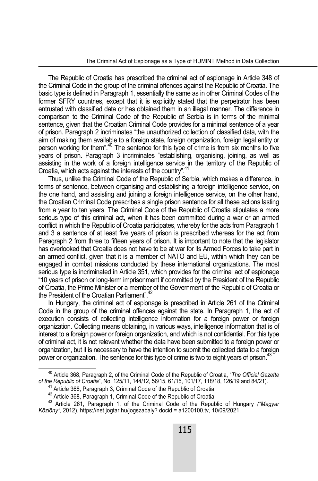The Republic of Croatia has prescribed the criminal act of espionage in Article 348 of the Criminal Code in the group of the criminal offences against the Republic of Croatia. The basic type is defined in Paragraph 1, essentially the same as in other Criminal Codes of the former SFRY countries, except that it is explicitly stated that the perpetrator has been entrusted with classified data or has obtained them in an illegal manner. The difference in comparison to the Criminal Code of the Republic of Serbia is in terms of the minimal sentence, given that the Croatian Criminal Code provides for a minimal sentence of a year of prison. Paragraph 2 incriminates "the unauthorized collection of classified data, with the aim of making them available to a foreign state, foreign organization, foreign legal entity or person working for them".40 The sentence for this type of crime is from six months to five years of prison. Paragraph 3 incriminates "establishing, organising, joining, as well as assisting in the work of a foreign intelligence service in the territory of the Republic of Croatia, which acts against the interests of the country".<sup>41</sup>

Thus, unlike the Criminal Code of the Republic of Serbia, which makes a difference, in terms of sentence, between organising and establishing a foreign intelligence service, on the one hand, and assisting and joining a foreign intelligence service, on the other hand, the Croatian Criminal Code prescribes a single prison sentence for all these actions lasting from a year to ten years. The Criminal Code of the Republic of Croatia stipulates a more serious type of this criminal act, when it has been committed during a war or an armed conflict in which the Republic of Croatia participates, whereby for the acts from Paragraph 1 and 3 a sentence of at least five years of prison is prescribed whereas for the act from Paragraph 2 from three to fifteen years of prison. It is important to note that the legislator has overlooked that Croatia does not have to be at war for its Armed Forces to take part in an armed conflict, given that it is a member of NATO and EU, within which they can be engaged in combat missions conducted by these international organizations. The most serious type is incriminated in Article 351, which provides for the criminal act of espionage "10 years of prison or long-term imprisonment if committed by the President of the Republic of Croatia, the Prime Minister or a member of the Government of the Republic of Croatia or the President of the Croatian Parliament" <sup>42</sup>

In Hungary, the criminal act of espionage is prescribed in Article 261 of the Criminal Code in the group of the criminal offences against the state. In Paragraph 1, the act of execution consists of collecting intelligence information for a foreign power or foreign organization. Collecting means obtaining, in various ways, intelligence information that is of interest to a foreign power or foreign organization, and which is not confidential. For this type of criminal act, it is not relevant whether the data have been submitted to a foreign power or organization, but it is necessary to have the intention to submit the collected data to a foreign power or organization. The sentence for this type of crime is two to eight years of prison.<sup>4</sup>

40 Article 368, Paragraph 2, of the Criminal Code of the Republic of Croatia, "*The Official Gazette of the Republic of Croatia*", No. 125/11, 144/12, 56/15, 61/15, 101/17, 118/18, 126/19 and 84/21).

<sup>&</sup>lt;sup>41</sup> Article 368, Paragraph 3, Criminal Code of the Republic of Croatia.<br><sup>42</sup> Article 368, Paragraph 1, Criminal Code of the Republic of Croatia.<br><sup>43</sup> Article 261. Paragraph 1, of the Criminal Code of the Republic of Hung *Közlöny"*, 2012). https://net.jogtar.hu/jogszabaly? docid = a1200100.tv, 10/09/2021.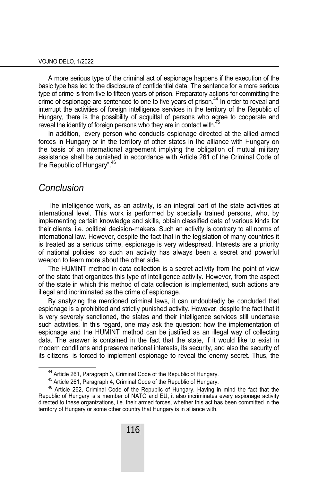A more serious type of the criminal act of espionage happens if the execution of the basic type has led to the disclosure of confidential data. The sentence for a more serious type of crime is from five to fifteen years of prison. Preparatory actions for committing the crime of espionage are sentenced to one to five years of prison.<sup>44</sup> In order to reveal and interrupt the activities of foreign intelligence services in the territory of the Republic of Hungary, there is the possibility of acquittal of persons who agree to cooperate and reveal the identity of foreign persons who they are in contact with.<sup>45</sup>

In addition, "every person who conducts espionage directed at the allied armed forces in Hungary or in the territory of other states in the alliance with Hungary on the basis of an international agreement implying the obligation of mutual military assistance shall be punished in accordance with Article 261 of the Criminal Code of the Republic of Hungary".<sup>46</sup>

#### *Conclusion*

The intelligence work, as an activity, is an integral part of the state activities at international level. This work is performed by specially trained persons, who, by implementing certain knowledge and skills, obtain classified data of various kinds for their clients, i.e. political decision-makers. Such an activity is contrary to all norms of international law. However, despite the fact that in the legislation of many countries it is treated as a serious crime, espionage is very widespread. Interests are a priority of national policies, so such an activity has always been a secret and powerful weapon to learn more about the other side.

The HUMINT method in data collection is a secret activity from the point of view of the state that organizes this type of intelligence activity. However, from the aspect of the state in which this method of data collection is implemented, such actions are illegal and incriminated as the crime of espionage.

By analyzing the mentioned criminal laws, it can undoubtedly be concluded that espionage is a prohibited and strictly punished activity. However, despite the fact that it is very severely sanctioned, the states and their intelligence services still undertake such activities. In this regard, one may ask the question: how the implementation of espionage and the HUMINT method can be justified as an illegal way of collecting data. The answer is contained in the fact that the state, if it would like to exist in modern conditions and preserve national interests, its security, and also the security of its citizens, is forced to implement espionage to reveal the enemy secret. Thus, the

<sup>&</sup>lt;sup>44</sup> Article 261, Paragraph 3, Criminal Code of the Republic of Hungary.<br><sup>45</sup> Article 261, Paragraph 4, Criminal Code of the Republic of Hungary.<br><sup>46</sup> Article 262, Criminal Code of the Republic of Hungary. Having in mind t Republic of Hungary is a member of NATO and EU, it also incriminates every espionage activity directed to these organizations, i.e. their armed forces, whether this act has been committed in the territory of Hungary or some other country that Hungary is in alliance with.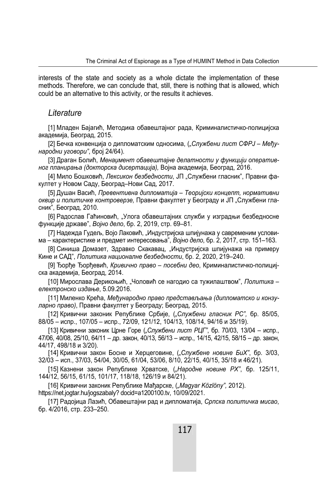interests of the state and society as a whole dictate the implementation of these methods. Therefore, we can conclude that, still, there is nothing that is allowed, which could be an alternative to this activity, or the results it achieves.

#### *Literature*

[1] Младен Бајагић, Методика обавештајног рада, Криминалистичко-полицијска академија, Београд, 2015.

[2] Бечка конвенција о дипломатским односима, (*"Службени лист СФРЈ – Међународни уговори"*, број 24/64).

[3] Драган Болић, *Менаџмент обавештајне делатности у функцији оперативног планирања (докторска дисертација),* Војна академија, Београд, 2016.

[4] Мило Бошковић, Лексикон безбедности, ЈП "Службени гласник", Правни факултет у Новом Саду, Београд–Нови Сад, 2017.

[5] Душан Васић, *Превентивна дипломатија – Теоријски концепт, нормативни оквир и политичке контроверзе,* Правни факултет у Београду и ЈП "Службени гласник", Београд, 2010.

[6] Радослав Гаћиновић, "Улога обавештајних служби у изградњи безбедносне функције државе", *Војно дело*, бр. 2, 2019, стр. 69–81.

[7] Надежда Гудељ, Војо Лаковић, "Индустријска шпијунажа у савременим условима – карактеристике и предмет интересовања", *Војно дело*, бр. 2, 2017, стр. 151–163.

[8] Синиша Домазет, Здравко Скакавац, "Индустријска шпијунажа на примеру Кине и САД", *Политика националне безбедности*, бр. 2, 2020, 219–240.

[9] Ђорђе Ђорђевић, *Кривично право – посебни део*, Криминалистичко-полицијска академија, Београд, 2014.

[10] Мирослава Дерикоњић, "Чоловић се нагодио са тужилаштвом", *Политика – електронско издање*, 5.09.2016.

[11] Миленко Крећа, *Међународно право представљања (дипломатско и конзуларно право)*, Правни факултет у Београду; Београд, 2015.

[12] Кривични законик Републике Србије, (*"Службени гласник РС",* бр. 85/05, 88/05 – испр., 107/05 – испр., 72/09, 121/12, 104/13, 108/14, 94/16 и 35/19).

[13] Кривични законик Црне Горе (*"Службени лист РЦГ"*, бр. 70/03, 13/04 – испр., 47/06, 40/08, 25/10, 64/11 – др. закон, 40/13, 56/13 – испр., 14/15, 42/15, 58/15 – др. закон, 44/17, 498/18 и 3/20).

[14] Кривични закон Босне и Херцеговине, (*"Службене новине БиХ"*, бр. 3/03, 32/03 – исп., 37/03, 54/04, 30/05, 61/04, 53/06, 8/10, 22/15, 40/15, 35/18 и 46/21).

[15] Казнени закон Републике Хрватске, (*"Народне новине РХ"*, бр. 125/11, 144/12, 56/15, 61/15, 101/17, 118/18, 126/19 и 84/21).

[16] Кривични законик Републике Мађарске, (*"Magyar Közlöny",* 2012). https://net.jogtar.hu/jogszabaly? docid=a1200100.tv, 10/09/2021.

[17] Радојица Лазић, Обавештајни рад и дипломатија, *Српска политичка мисао*, бр. 4/2016, стр. 233–250.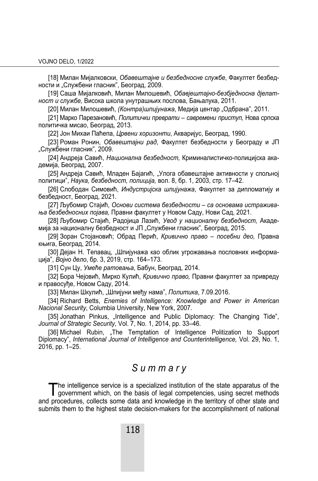[18] Милан Мијалковски, *Обавештајне и безбедносне службе*, Факултет безбедности и "Службени гласник", Београд, 2009.

[19] Саша Мијалковић, Милан Милошевић, *Обавјештајно-безбједносна дјелатност и службе,* Висока школа унутрашњих послова, Бањалука, 2011.

[20] Милан Милошевић, *(Контра)шпијунажа*, Медија центар "Одбрана", 2011.

[21] Марко Парезановић, *Политички преврати – савремени приступ,* Нова српска политичка мисао, Београд, 2013.

[22] Јон Михаи Паћепа, *Црвени хоризонти*, Акваријус, Београд, 1990.

[23] Роман Ронин, *Обавештајни рад*, Факултет безбедности у Београду и ЈП "Службени гласник", 2009.

[24] Андреја Савић, *Национална безбедност,* Криминалистичко-полицијска академија, Београд, 2007.

[25] Андреја Савић, Младен Бајагић, "Улога обавештајне активности у спољној политици", *Наука, безбедност, полиција,* вол. 8, бр. 1, 2003, стр. 17–42.

[26] Слободан Симовић, *Индустријска шпијунажа*, Факултет за дипломатију и безбедност, Београд, 2021.

[27] Љубомир Стајић, *Основи система безбедности – са основама истраживања безбедносних појава,* Правни факултет у Новом Саду, Нови Сад, 2021.

[28] Љубомир Стајић, Радојица Лазић, *Увод у националну безбедност,* Академија за националну безбедност и ЈП "Службени гласник", Београд, 2015.

[29] Зоран Стојановић; Обрад Перић, *Кривично право – посебни део,* Правна књига, Београд, 2014.

[30] Дејан Н. Тепавац, "Шпијунажа као облик угрожавања пословних информација", *Војно дело*, бр. 3, 2019, стр. 164–173.

[31] Сун Цу, *Умеће ратовања*, Бабун, Београд, 2014.

[32] Бора Чејовић, Мирко Кулић, *Кривично право,* Правни факултет за привреду и правосуђе, Новом Саду, 2014.

[33] Милан Шкулић, "Шпијуни међу нама", *Политика*, 7.09.2016.

[34] Richard Betts, *Enemies of Intelligence: Knowledge and Power in American Nacional Security*, Columbia University, New York, 2007.

[35] Jonathan Pinkus, "Intelligence and Public Diplomacy: The Changing Tide", *Јournal of Strategic Security*, Vol. 7, No. 1, 2014, pр. 33–46.

[36] Michael Rubin, "The Temptation of Intelligence Politization to Support Diplomacy", *International Journal of Intelligence and Counterintelligence,* Vol. 29, No. 1, 2016, pp. 1–25.

#### *S u m m a r y*

he intelligence service is a specialized institution of the state apparatus of the The intelligence service is a specialized institution of the state apparatus of the government which, on the basis of legal competencies, using secret methods and procedures, collects some data and knowledge in the territory of other state and submits them to the highest state decision-makers for the accomplishment of national